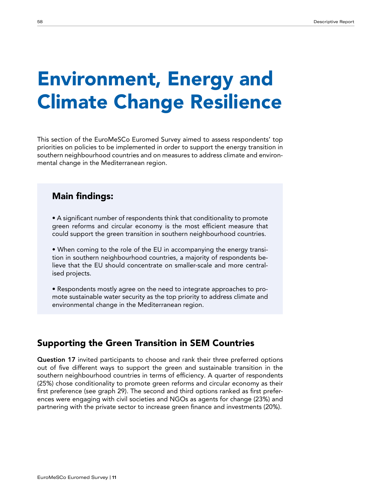# Environment, Energy and Climate Change Resilience

This section of the EuroMeSCo Euromed Survey aimed to assess respondents' top priorities on policies to be implemented in order to support the energy transition in southern neighbourhood countries and on measures to address climate and environmental change in the Mediterranean region.

### Main findings:

- A significant number of respondents think that conditionality to promote green reforms and circular economy is the most efficient measure that could support the green transition in southern neighbourhood countries.
- When coming to the role of the EU in accompanying the energy transition in southern neighbourhood countries, a majority of respondents believe that the EU should concentrate on smaller-scale and more centralised projects.
- Respondents mostly agree on the need to integrate approaches to promote sustainable water security as the top priority to address climate and environmental change in the Mediterranean region.

## Supporting the Green Transition in SEM Countries

Question 17 invited participants to choose and rank their three preferred options out of five different ways to support the green and sustainable transition in the southern neighbourhood countries in terms of efficiency. A quarter of respondents (25%) chose conditionality to promote green reforms and circular economy as their first preference (see graph 29). The second and third options ranked as first preferences were engaging with civil societies and NGOs as agents for change (23%) and partnering with the private sector to increase green finance and investments (20%).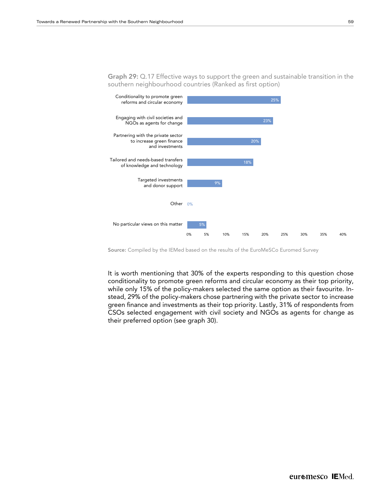

Source: Compiled by the IEMed based on the results of the EuroMeSCo Euromed Survey

...<br>...  $\frac{C_1}{C_2}$  continuous that 20% of the events representing to t It is worth mentioning that 30% of the experts responding to this question chose 29% stead, 29% of the policy-makers chose partnering with the private sector to increase port of the private sector with the private sector with the private sector with the private sector with the pr their preferred option (see graph 30). conditionality to promote green reforms and circular economy as their top priority, while only 15% of the policy-makers selected the same option as their favourite. Ingreen finance and investments as their top priority. Lastly, 31% of respondents from CSOs selected engagement with civil society and NGOs as agents for change as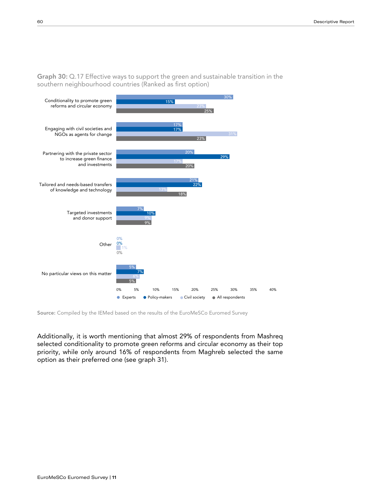

Graph 30: Q.17 Effective ways to support the green and sustainable transition in the southern neighbourhood countries (Ranked as first option)

Source: Compiled by the IEMed based on the results of the EuroMeSCo Euromed Survey

selected conditionality to promote green reforms and circular economy as their top priority, while only around 16% of respondents from Maghreb selected the same option as their preferred one (see graph 31). Additionally, it is worth mentioning that almost 29% of respondents from Mashreq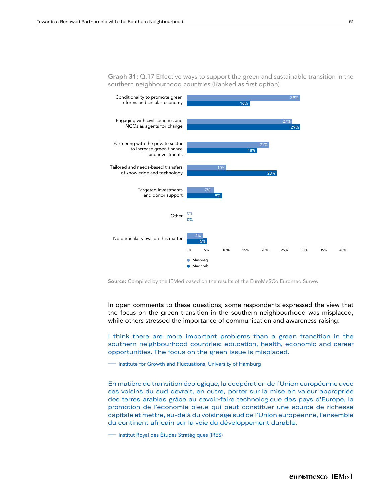

Graph 31: Q.17 Effective ways to support the green and sustainable transition in the southern neighbourhood countries (Ranked as first option)

Source: Compiled by the IEMed based on the results of the EuroMeSCo Euromed Survey

ille others stressed the importance of communication and a In open comments to these questions, some respondents expressed the view that while others stressed the importance of communication and awareness-raising: the focus on the green transition in the southern neighbourhood was misplaced,

20% southern neighbourhood countries: education, health, economic and career I think there are more important problems than a green transition in the opportunities. The focus on the green issue is misplaced.

**—–** Institute for Growth and Fluctuations, University of Hamburg

.<br>capitale et mettre, au-delà du voisinage sud de l'Union européenne, l'ensemble promotion de l'économie bleue qui peut constituer une source de richesse ses voisins du sud devrait, en outre, porter sur la mise en valeur appropriée En matière de transition écologique, la coopération de l'Union européenne avec des terres arables grâce au savoir-faire technologique des pays d'Europe, la du continent africain sur la voie du développement durable.

 $\overline{\phantom{a}}$ <u>—</u><br>Institut Royal des Études Stratégiques (IRES)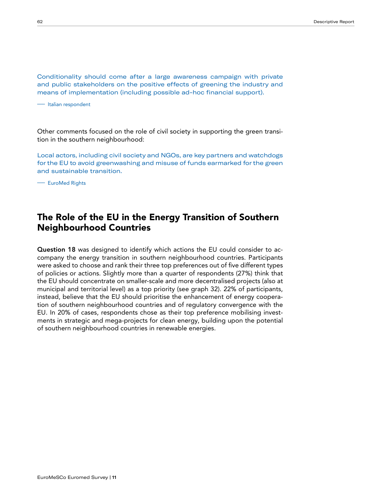Conditionality should come after a large awareness campaign with private and public stakeholders on the positive effects of greening the industry and means of implementation (including possible ad-hoc financial support).

—– Italian respondent

Other comments focused on the role of civil society in supporting the green transition in the southern neighbourhood:

Local actors, including civil society and NGOs, are key partners and watchdogs for the EU to avoid greenwashing and misuse of funds earmarked for the green and sustainable transition.

—– EuroMed Rights

#### The Role of the EU in the Energy Transition of Southern Neighbourhood Countries

Question 18 was designed to identify which actions the EU could consider to accompany the energy transition in southern neighbourhood countries. Participants were asked to choose and rank their three top preferences out of five different types of policies or actions. Slightly more than a quarter of respondents (27%) think that the EU should concentrate on smaller-scale and more decentralised projects (also at municipal and territorial level) as a top priority (see graph 32). 22% of participants, instead, believe that the EU should prioritise the enhancement of energy cooperation of southern neighbourhood countries and of regulatory convergence with the EU. In 20% of cases, respondents chose as their top preference mobilising investments in strategic and mega-projects for clean energy, building upon the potential of southern neighbourhood countries in renewable energies.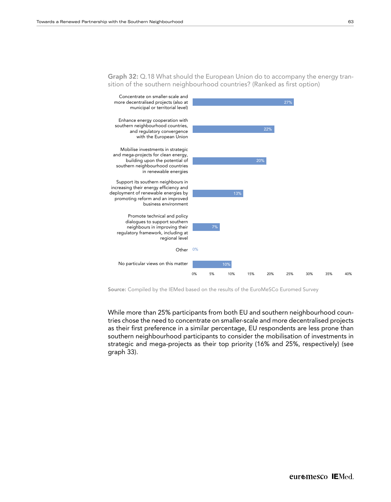

Graph 32: Q.18 What should the European Union do to accompany the energy transition of the southern neighbourhood countries? (Ranked as first option)

Concentrate on smaller-scale and Source: Compiled by the IEMed based on the results of the EuroMeSCo Euromed Survey

 $\overline{d}$ as their first preference in a similar percentage, EU respondents are less prone than graph 33). In the cooperation with  $\sigma$ Mobilise investments in strategic tries chose the need to concentrate on smaller-scale and more decentralised projects  $\frac{1}{2}$ southern neighbourhood participants to consider the mobilisation of investments in While more than 25% participants from both EU and southern neighbourhood counstrategic and mega-projects as their top priority (16% and 25%, respectively) (see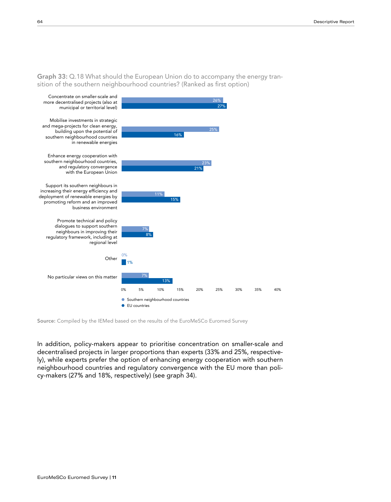**Graph 33:** Q.18 What should the European Union do to accompany the energy transition of the southern neighbourhood countries? (Ranked as first option)



Source: Compiled by the IEMed based on the results of the EuroMeSCo Euromed Survey

In addition, policy-makers appear to prioritise concentration on smaller-scale and decentralised projects in larger proportions than experts (33% and 25%, respectively), while experts prefer the option of enhancing energy cooperation with southern neighbourhood countries and regulatory convergence with the EU more than policy-makers (27% and 18%, respectively) (see graph 34).

dialogues to support southern southern southern southern southern southern southern southern southern southern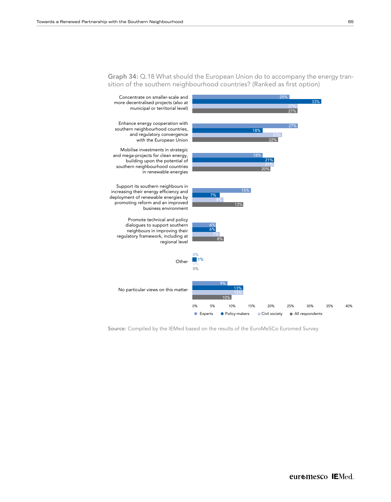

Graph 34: Q.18 What should the European Union do to accompany the energy transition of the southern neighbourhood countries? (Ranked as first option)

Source: Compiled by the IEMed based on the results of the EuroMeSCo Euromed Survey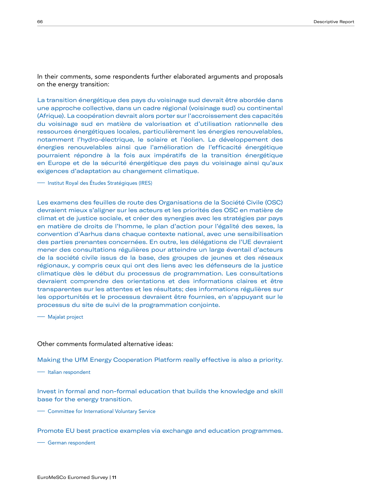In their comments, some respondents further elaborated arguments and proposals on the energy transition:

La transition énergétique des pays du voisinage sud devrait être abordée dans une approche collective, dans un cadre régional (voisinage sud) ou continental (Afrique). La coopération devrait alors porter sur l'accroissement des capacités du voisinage sud en matière de valorisation et d'utilisation rationnelle des ressources énergétiques locales, particulièrement les énergies renouvelables, notamment l'hydro-électrique, le solaire et l'éolien. Le développement des énergies renouvelables ainsi que l'amélioration de l'efficacité énergétique pourraient répondre à la fois aux impératifs de la transition énergétique en Europe et de la sécurité énergétique des pays du voisinage ainsi qu'aux exigences d'adaptation au changement climatique.

—– Institut Royal des Études Stratégiques (IRES)

Les examens des feuilles de route des Organisations de la Société Civile (OSC) devraient mieux s'aligner sur les acteurs et les priorités des OSC en matière de climat et de justice sociale, et créer des synergies avec les stratégies par pays en matière de droits de l'homme, le plan d'action pour l'égalité des sexes, la convention d'Aarhus dans chaque contexte national, avec une sensibilisation des parties prenantes concernées. En outre, les délégations de l'UE devraient mener des consultations régulières pour atteindre un large éventail d'acteurs de la société civile issus de la base, des groupes de jeunes et des réseaux régionaux, y compris ceux qui ont des liens avec les défenseurs de la justice climatique dès le début du processus de programmation. Les consultations devraient comprendre des orientations et des informations claires et être transparentes sur les attentes et les résultats; des informations régulières sur les opportunités et le processus devraient être fournies, en s'appuyant sur le processus du site de suivi de la programmation conjointe.

—– Majalat project

#### Other comments formulated alternative ideas:

Making the UfM Energy Cooperation Platform really effective is also a priority.

—– Italian respondent

Invest in formal and non-formal education that builds the knowledge and skill base for the energy transition.

—– Committee for International Voluntary Service

Promote EU best practice examples via exchange and education programmes.

—– German respondent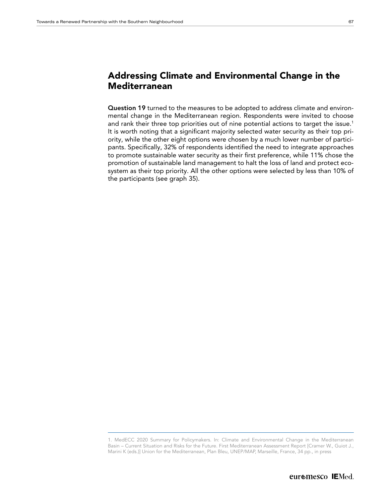### Addressing Climate and Environmental Change in the Mediterranean

Question 19 turned to the measures to be adopted to address climate and environmental change in the Mediterranean region. Respondents were invited to choose and rank their three top priorities out of nine potential actions to target the issue.<sup>1</sup> It is worth noting that a significant majority selected water security as their top priority, while the other eight options were chosen by a much lower number of participants. Specifically, 32% of respondents identified the need to integrate approaches to promote sustainable water security as their first preference, while 11% chose the promotion of sustainable land management to halt the loss of land and protect ecosystem as their top priority. All the other options were selected by less than 10% of the participants (see graph 35).

<sup>1.</sup> MedECC 2020 Summary for Policymakers. In: Climate and Environmental Change in the Mediterranean Basin – Current Situation and Risks for the Future. First Mediterranean Assessment Report [Cramer W., Guiot J., Marini K (eds.)] Union for the Mediterranean, Plan Bleu, UNEP/MAP, Marseille, France, 34 pp., in press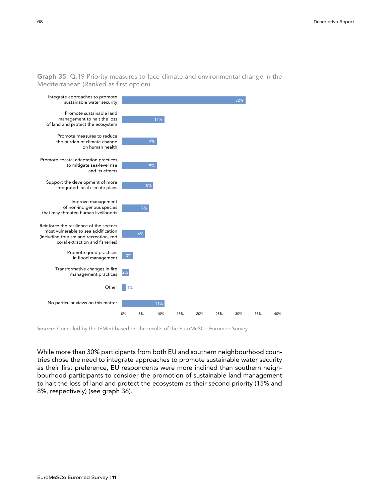Graph 35: Q.19 Priority measures to face climate and environmental change in the Mediterranean (Ranked as first option)



Source: Compiled by the IEMed based on the results of the EuroMeSCo Euromed Survey

Integrate approaches to promote 8%, respectively) (see graph 36). While more than 30% participants from both EU and southern neighbourhood countries chose the need to integrate approaches to promote sustainable water security as their first preference, EU respondents were more inclined than southern neighbourhood participants to consider the promotion of sustainable land management to halt the loss of land and protect the ecosystem as their second priority (15% and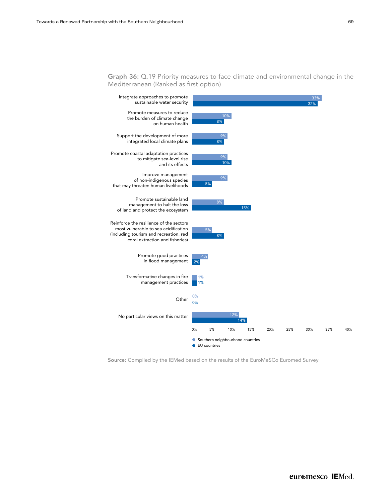

Graph 36: Q.19 Priority measures to face climate and environmental change in the Mediterranean (Ranked as first option)

Source: Compiled by the IEMed based on the results of the EuroMeSCo Euromed Survey